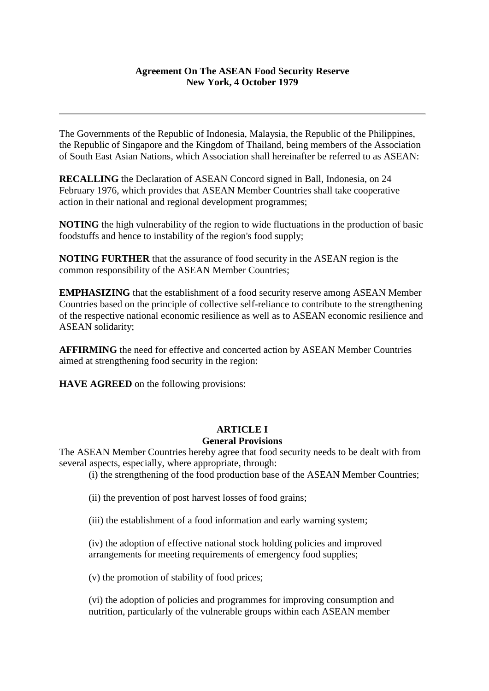#### **Agreement On The ASEAN Food Security Reserve New York, 4 October 1979**

The Governments of the Republic of Indonesia, Malaysia, the Republic of the Philippines, the Republic of Singapore and the Kingdom of Thailand, being members of the Association of South East Asian Nations, which Association shall hereinafter be referred to as ASEAN:

**RECALLING** the Declaration of ASEAN Concord signed in Ball, Indonesia, on 24 February 1976, which provides that ASEAN Member Countries shall take cooperative action in their national and regional development programmes;

**NOTING** the high vulnerability of the region to wide fluctuations in the production of basic foodstuffs and hence to instability of the region's food supply;

**NOTING FURTHER** that the assurance of food security in the ASEAN region is the common responsibility of the ASEAN Member Countries;

**EMPHASIZING** that the establishment of a food security reserve among ASEAN Member Countries based on the principle of collective self-reliance to contribute to the strengthening of the respective national economic resilience as well as to ASEAN economic resilience and ASEAN solidarity;

**AFFIRMING** the need for effective and concerted action by ASEAN Member Countries aimed at strengthening food security in the region:

**HAVE AGREED** on the following provisions:

#### **ARTICLE I General Provisions**

The ASEAN Member Countries hereby agree that food security needs to be dealt with from several aspects, especially, where appropriate, through:

(i) the strengthening of the food production base of the ASEAN Member Countries;

(ii) the prevention of post harvest losses of food grains;

(iii) the establishment of a food information and early warning system;

(iv) the adoption of effective national stock holding policies and improved arrangements for meeting requirements of emergency food supplies;

(v) the promotion of stability of food prices;

(vi) the adoption of policies and programmes for improving consumption and nutrition, particularly of the vulnerable groups within each ASEAN member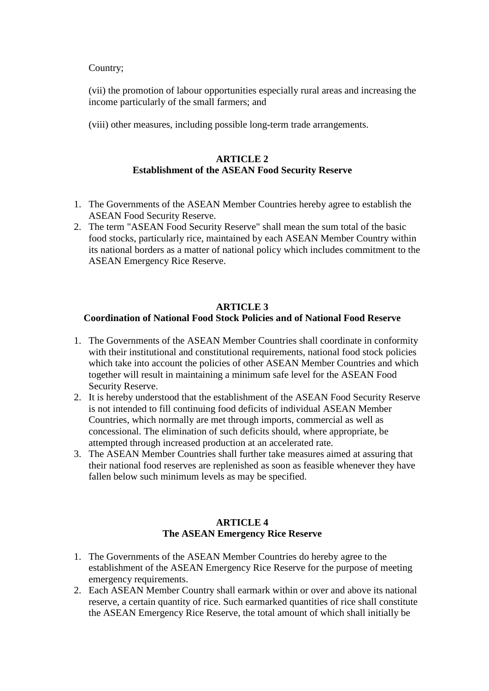## Country;

(vii) the promotion of labour opportunities especially rural areas and increasing the income particularly of the small farmers; and

(viii) other measures, including possible long-term trade arrangements.

# **ARTICLE 2 Establishment of the ASEAN Food Security Reserve**

- 1. The Governments of the ASEAN Member Countries hereby agree to establish the ASEAN Food Security Reserve.
- 2. The term "ASEAN Food Security Reserve" shall mean the sum total of the basic food stocks, particularly rice, maintained by each ASEAN Member Country within its national borders as a matter of national policy which includes commitment to the ASEAN Emergency Rice Reserve.

# **ARTICLE 3 Coordination of National Food Stock Policies and of National Food Reserve**

- 1. The Governments of the ASEAN Member Countries shall coordinate in conformity with their institutional and constitutional requirements, national food stock policies which take into account the policies of other ASEAN Member Countries and which together will result in maintaining a minimum safe level for the ASEAN Food Security Reserve.
- 2. It is hereby understood that the establishment of the ASEAN Food Security Reserve is not intended to fill continuing food deficits of individual ASEAN Member Countries, which normally are met through imports, commercial as well as concessional. The elimination of such deficits should, where appropriate, be attempted through increased production at an accelerated rate.
- 3. The ASEAN Member Countries shall further take measures aimed at assuring that their national food reserves are replenished as soon as feasible whenever they have fallen below such minimum levels as may be specified.

# **ARTICLE 4 The ASEAN Emergency Rice Reserve**

- 1. The Governments of the ASEAN Member Countries do hereby agree to the establishment of the ASEAN Emergency Rice Reserve for the purpose of meeting emergency requirements.
- 2. Each ASEAN Member Country shall earmark within or over and above its national reserve, a certain quantity of rice. Such earmarked quantities of rice shall constitute the ASEAN Emergency Rice Reserve, the total amount of which shall initially be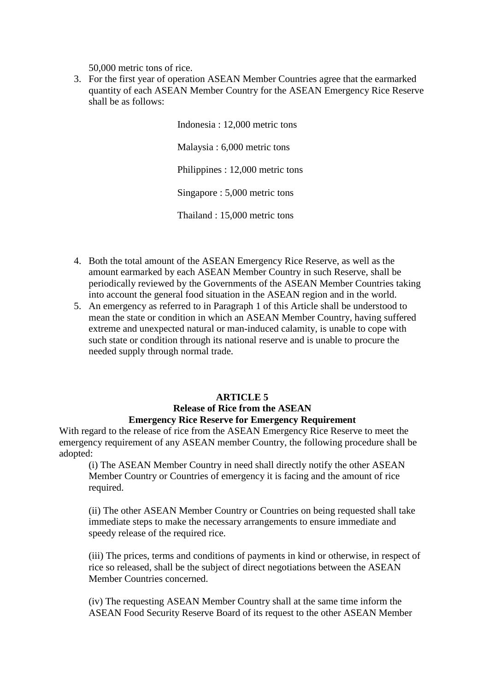50,000 metric tons of rice.

3. For the first year of operation ASEAN Member Countries agree that the earmarked quantity of each ASEAN Member Country for the ASEAN Emergency Rice Reserve shall be as follows:

> Indonesia : 12,000 metric tons Malaysia : 6,000 metric tons Philippines : 12,000 metric tons Singapore : 5,000 metric tons Thailand : 15,000 metric tons

- 4. Both the total amount of the ASEAN Emergency Rice Reserve, as well as the amount earmarked by each ASEAN Member Country in such Reserve, shall be periodically reviewed by the Governments of the ASEAN Member Countries taking into account the general food situation in the ASEAN region and in the world.
- 5. An emergency as referred to in Paragraph 1 of this Article shall be understood to mean the state or condition in which an ASEAN Member Country, having suffered extreme and unexpected natural or man-induced calamity, is unable to cope with such state or condition through its national reserve and is unable to procure the needed supply through normal trade.

# **ARTICLE 5 Release of Rice from the ASEAN Emergency Rice Reserve for Emergency Requirement**

With regard to the release of rice from the ASEAN Emergency Rice Reserve to meet the emergency requirement of any ASEAN member Country, the following procedure shall be adopted:

(i) The ASEAN Member Country in need shall directly notify the other ASEAN Member Country or Countries of emergency it is facing and the amount of rice required.

(ii) The other ASEAN Member Country or Countries on being requested shall take immediate steps to make the necessary arrangements to ensure immediate and speedy release of the required rice.

(iii) The prices, terms and conditions of payments in kind or otherwise, in respect of rice so released, shall be the subject of direct negotiations between the ASEAN Member Countries concerned.

(iv) The requesting ASEAN Member Country shall at the same time inform the ASEAN Food Security Reserve Board of its request to the other ASEAN Member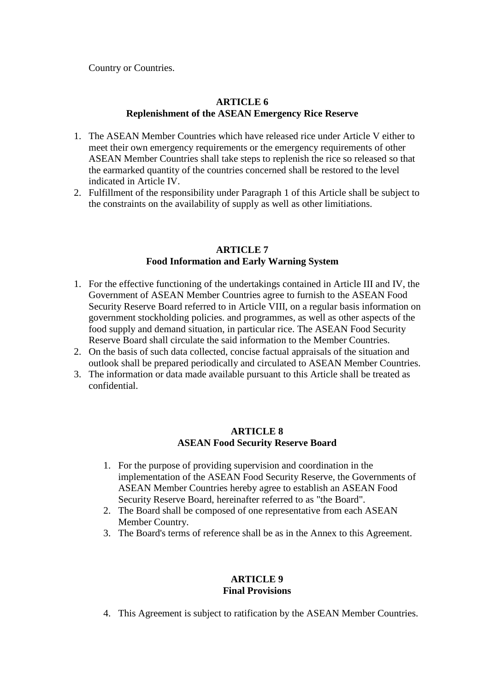Country or Countries.

# **ARTICLE 6 Replenishment of the ASEAN Emergency Rice Reserve**

- 1. The ASEAN Member Countries which have released rice under Article V either to meet their own emergency requirements or the emergency requirements of other ASEAN Member Countries shall take steps to replenish the rice so released so that the earmarked quantity of the countries concerned shall be restored to the level indicated in Article IV.
- 2. Fulfillment of the responsibility under Paragraph 1 of this Article shall be subject to the constraints on the availability of supply as well as other limitiations.

## **ARTICLE 7 Food Information and Early Warning System**

- 1. For the effective functioning of the undertakings contained in Article III and IV, the Government of ASEAN Member Countries agree to furnish to the ASEAN Food Security Reserve Board referred to in Article VIII, on a regular basis information on government stockholding policies. and programmes, as well as other aspects of the food supply and demand situation, in particular rice. The ASEAN Food Security Reserve Board shall circulate the said information to the Member Countries.
- 2. On the basis of such data collected, concise factual appraisals of the situation and outlook shall be prepared periodically and circulated to ASEAN Member Countries.
- 3. The information or data made available pursuant to this Article shall be treated as confidential.

## **ARTICLE 8 ASEAN Food Security Reserve Board**

- 1. For the purpose of providing supervision and coordination in the implementation of the ASEAN Food Security Reserve, the Governments of ASEAN Member Countries hereby agree to establish an ASEAN Food Security Reserve Board, hereinafter referred to as "the Board".
- 2. The Board shall be composed of one representative from each ASEAN Member Country.
- 3. The Board's terms of reference shall be as in the Annex to this Agreement.

## **ARTICLE 9 Final Provisions**

4. This Agreement is subject to ratification by the ASEAN Member Countries.